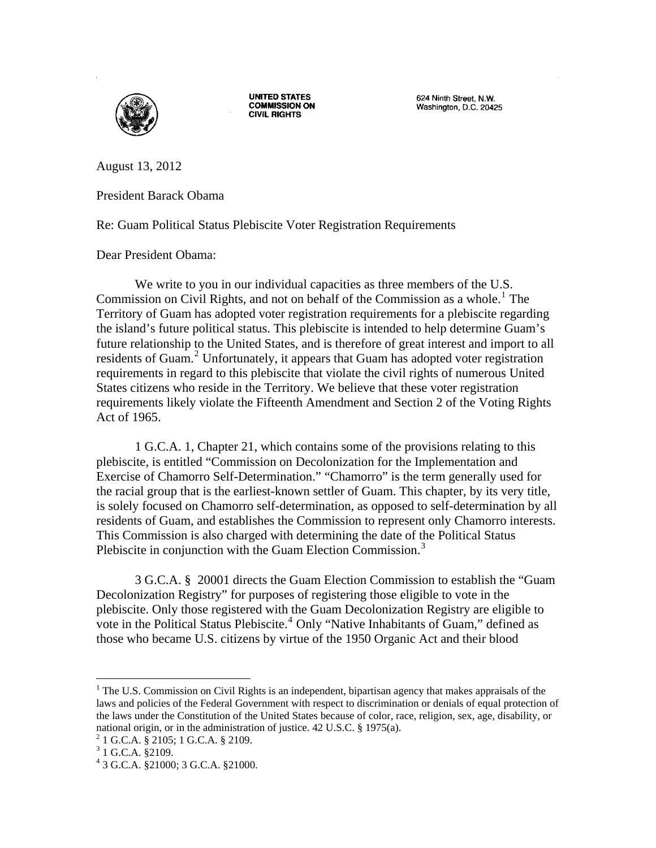

**UNITED STATES COMMISSION ON CIVIL RIGHTS** 

624 Ninth Street, N.W. Washington, D.C. 20425

August 13, 2012

President Barack Obama

Re: Guam Political Status Plebiscite Voter Registration Requirements

## Dear President Obama:

We write to you in our individual capacities as three members of the U.S. Commission on Civil Rights, and not on behalf of the Commission as a whole.<sup>[1](#page-0-0)</sup> The Territory of Guam has adopted voter registration requirements for a plebiscite regarding the island's future political status. This plebiscite is intended to help determine Guam's future relationship to the United States, and is therefore of great interest and import to all residents of Guam.<sup>[2](#page-0-1)</sup> Unfortunately, it appears that Guam has adopted voter registration requirements in regard to this plebiscite that violate the civil rights of numerous United States citizens who reside in the Territory. We believe that these voter registration requirements likely violate the Fifteenth Amendment and Section 2 of the Voting Rights Act of 1965.

 1 G.C.A. 1, Chapter 21, which contains some of the provisions relating to this plebiscite, is entitled "Commission on Decolonization for the Implementation and Exercise of Chamorro Self-Determination." "Chamorro" is the term generally used for the racial group that is the earliest-known settler of Guam. This chapter, by its very title, is solely focused on Chamorro self-determination, as opposed to self-determination by all residents of Guam, and establishes the Commission to represent only Chamorro interests. This Commission is also charged with determining the date of the Political Status Plebiscite in conjunction with the Guam Election Commission.<sup>[3](#page-0-2)</sup>

3 G.C.A. § 20001 directs the Guam Election Commission to establish the "Guam Decolonization Registry" for purposes of registering those eligible to vote in the plebiscite. Only those registered with the Guam Decolonization Registry are eligible to vote in the Political Status Plebiscite. $4$  Only "Native Inhabitants of Guam," defined as those who became U.S. citizens by virtue of the 1950 Organic Act and their blood

 $\overline{a}$ 

<span id="page-0-0"></span><sup>&</sup>lt;sup>1</sup> The U.S. Commission on Civil Rights is an independent, bipartisan agency that makes appraisals of the laws and policies of the Federal Government with respect to discrimination or denials of equal protection of the laws under the Constitution of the United States because of color, race, religion, sex, age, disability, or national origin, or in the administration of justice. 42 U.S.C. § 1975(a). 2

<span id="page-0-2"></span><span id="page-0-1"></span> $2$  1 G.C.A. § 2105; 1 G.C.A. § 2109.

 $3$  1 G.C.A. §2109.

<span id="page-0-3"></span><sup>4</sup> 3 G.C.A. §21000; 3 G.C.A. §21000.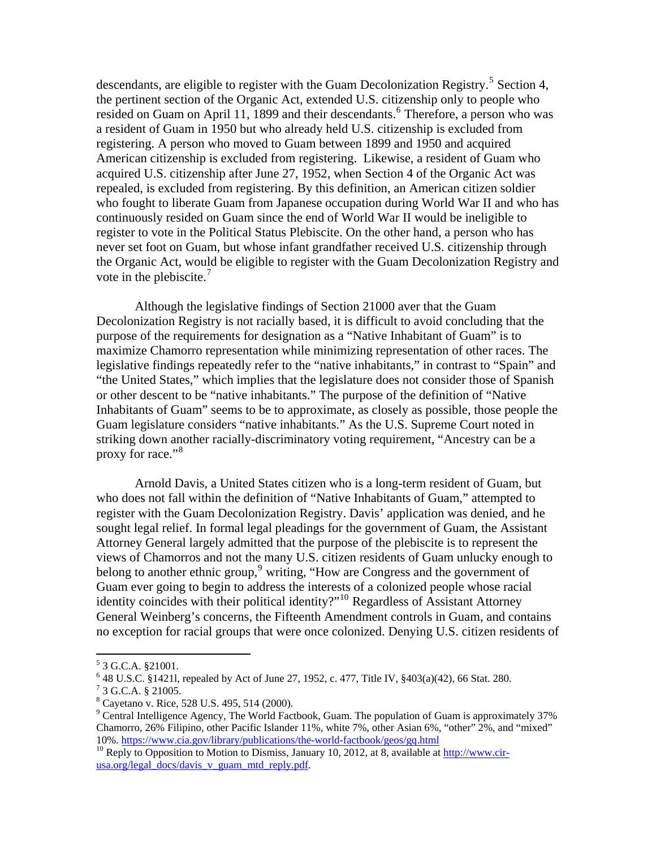descendants, are eligible to register with the Guam Decolonization Registry.<sup>[5](#page-1-0)</sup> Section 4, the pertinent section of the Organic Act, extended U.S. citizenship only to people who resided on Guam on April 11, 1899 and their descendants.<sup>[6](#page-1-1)</sup> Therefore, a person who was a resident of Guam in 1950 but who already held U.S. citizenship is excluded from registering. A person who moved to Guam between 1899 and 1950 and acquired American citizenship is excluded from registering. Likewise, a resident of Guam who acquired U.S. citizenship after June 27, 1952, when Section 4 of the Organic Act was repealed, is excluded from registering. By this definition, an American citizen soldier who fought to liberate Guam from Japanese occupation during World War II and who has continuously resided on Guam since the end of World War II would be ineligible to register to vote in the Political Status Plebiscite. On the other hand, a person who has never set foot on Guam, but whose infant grandfather received U.S. citizenship through the Organic Act, would be eligible to register with the Guam Decolonization Registry and vote in the plebiscite. $\frac{7}{1}$  $\frac{7}{1}$  $\frac{7}{1}$ 

Although the legislative findings of Section 21000 aver that the Guam Decolonization Registry is not racially based, it is difficult to avoid concluding that the purpose of the requirements for designation as a "Native Inhabitant of Guam" is to maximize Chamorro representation while minimizing representation of other races. The legislative findings repeatedly refer to the "native inhabitants," in contrast to "Spain" and "the United States," which implies that the legislature does not consider those of Spanish or other descent to be "native inhabitants." The purpose of the definition of "Native Inhabitants of Guam" seems to be to approximate, as closely as possible, those people the Guam legislature considers "native inhabitants." As the U.S. Supreme Court noted in striking down another racially-discriminatory voting requirement, "Ancestry can be a proxy for race."<sup>[8](#page-1-3)</sup>

Arnold Davis, a United States citizen who is a long-term resident of Guam, but who does not fall within the definition of "Native Inhabitants of Guam," attempted to register with the Guam Decolonization Registry. Davis' application was denied, and he sought legal relief. In formal legal pleadings for the government of Guam, the Assistant Attorney General largely admitted that the purpose of the plebiscite is to represent the views of Chamorros and not the many U.S. citizen residents of Guam unlucky enough to belong to another ethnic group,<sup>[9](#page-1-4)</sup> writing, "How are Congress and the government of Guam ever going to begin to address the interests of a colonized people whose racial identity coincides with their political identity?"[10](#page-1-5) Regardless of Assistant Attorney General Weinberg's concerns, the Fifteenth Amendment controls in Guam, and contains no exception for racial groups that were once colonized. Denying U.S. citizen residents of

 $\overline{a}$ 

<span id="page-1-0"></span> $5$  3 G.C.A. §21001.

<span id="page-1-1"></span> $^{6}$  48 U.S.C. §14211, repealed by Act of June 27, 1952, c. 477, Title IV, §403(a)(42), 66 Stat. 280.

<span id="page-1-3"></span><span id="page-1-2"></span> <sup>3</sup> G.C.A. § 21005.

<sup>&</sup>lt;sup>8</sup> Cayetano v. Rice, 528 U.S. 495, 514 (2000).

<span id="page-1-4"></span><sup>&</sup>lt;sup>9</sup> Central Intelligence Agency, The World Factbook, Guam. The population of Guam is approximately 37% Chamorro, 26% Filipino, other Pacific Islander 11%, white 7%, other Asian 6%, "other" 2%, and "mixed" 10%. https://www.cia.gov/library/publications/the-world-factbook/geos/gq.html

<span id="page-1-5"></span><sup>&</sup>lt;sup>10</sup> Reply to Opposition to Motion to Dismiss, January 10, 2012, at 8, available at [http://www.cir](http://www.cir-usa.org/legal_docs/davis_v_guam_mtd_reply.pdf)[usa.org/legal\\_docs/davis\\_v\\_guam\\_mtd\\_reply.pdf.](http://www.cir-usa.org/legal_docs/davis_v_guam_mtd_reply.pdf)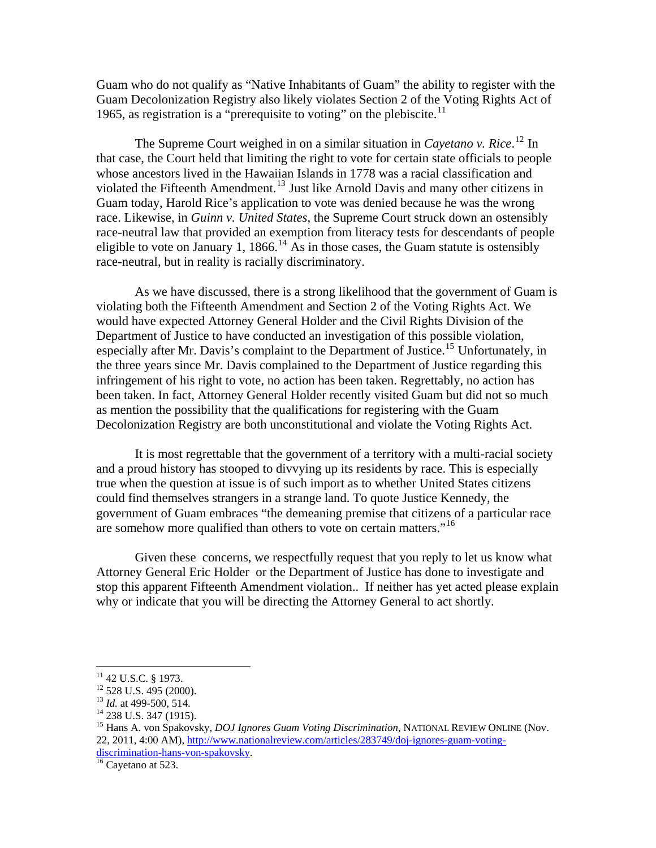Guam who do not qualify as "Native Inhabitants of Guam" the ability to register with the Guam Decolonization Registry also likely violates Section 2 of the Voting Rights Act of 1965, as registration is a "prerequisite to voting" on the plebiscite. $11$ 

The Supreme Court weighed in on a similar situation in *Cayetano v. Rice*. [12](#page-2-1) In that case, the Court held that limiting the right to vote for certain state officials to people whose ancestors lived in the Hawaiian Islands in 1778 was a racial classification and violated the Fifteenth Amendment.<sup>[13](#page-2-2)</sup> Just like Arnold Davis and many other citizens in Guam today, Harold Rice's application to vote was denied because he was the wrong race. Likewise, in *Guinn v. United States*, the Supreme Court struck down an ostensibly race-neutral law that provided an exemption from literacy tests for descendants of people eligible to vote on January 1, 1866.<sup>[14](#page-2-3)</sup> As in those cases, the Guam statute is ostensibly race-neutral, but in reality is racially discriminatory.

As we have discussed, there is a strong likelihood that the government of Guam is violating both the Fifteenth Amendment and Section 2 of the Voting Rights Act. We would have expected Attorney General Holder and the Civil Rights Division of the Department of Justice to have conducted an investigation of this possible violation, especially after Mr. Davis's complaint to the Department of Justice.<sup>[15](#page-2-4)</sup> Unfortunately, in the three years since Mr. Davis complained to the Department of Justice regarding this infringement of his right to vote, no action has been taken. Regrettably, no action has been taken. In fact, Attorney General Holder recently visited Guam but did not so much as mention the possibility that the qualifications for registering with the Guam Decolonization Registry are both unconstitutional and violate the Voting Rights Act.

It is most regrettable that the government of a territory with a multi-racial society and a proud history has stooped to divvying up its residents by race. This is especially true when the question at issue is of such import as to whether United States citizens could find themselves strangers in a strange land. To quote Justice Kennedy, the government of Guam embraces "the demeaning premise that citizens of a particular race are somehow more qualified than others to vote on certain matters."<sup>[16](#page-2-5)</sup>

Given these concerns, we respectfully request that you reply to let us know what Attorney General Eric Holder or the Department of Justice has done to investigate and stop this apparent Fifteenth Amendment violation.. If neither has yet acted please explain why or indicate that you will be directing the Attorney General to act shortly.

 $\overline{a}$ 

<span id="page-2-5"></span>

 $11$  42 U.S.C. § 1973.

<span id="page-2-1"></span><span id="page-2-0"></span> $^{12}$  528 U.S. 495 (2000).<br> $^{13}$  *Id.* at 499-500, 514.

<span id="page-2-3"></span><span id="page-2-2"></span><sup>&</sup>lt;sup>14</sup> 238 U.S. 347 (1915).

<span id="page-2-4"></span><sup>15</sup> Hans A. von Spakovsky, *DOJ Ignores Guam Voting Discrimination*, NATIONAL REVIEW ONLINE (Nov. 22, 2011, 4:00 AM), [http://www.nationalreview.com/articles/283749/doj-ignores-guam-voting](http://www.nationalreview.com/articles/283749/doj-ignores-guam-voting-discrimination-hans-von-spakovsky)[discrimination-hans-von-spakovsky](http://www.nationalreview.com/articles/283749/doj-ignores-guam-voting-discrimination-hans-von-spakovsky).<br><sup>[16](http://www.nationalreview.com/articles/283749/doj-ignores-guam-voting-discrimination-hans-von-spakovsky)</sup> Cayetano at 523.